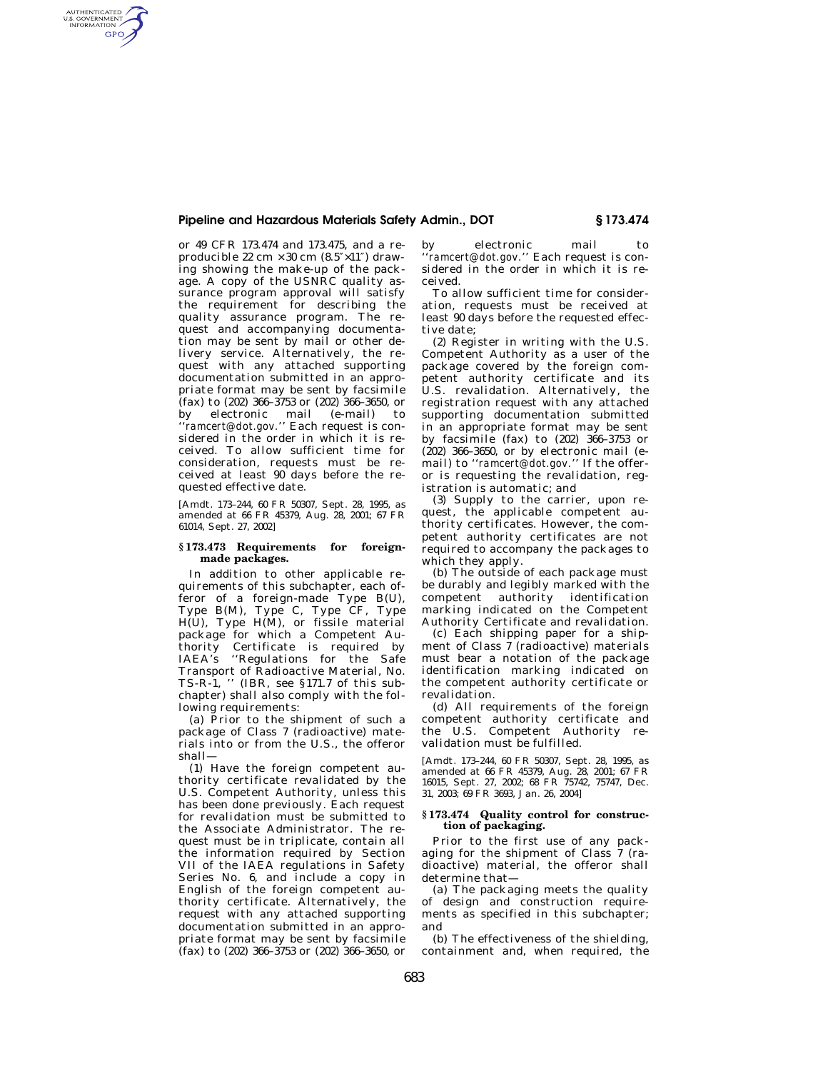# **Pipeline and Hazardous Materials Safety Admin., DOT § 173.474**

or 49 CFR 173.474 and 173.475, and a reproducible 22 cm  $\times$  30 cm (8.5" $\times$ 11") drawing showing the make-up of the package. A copy of the USNRC quality assurance program approval will satisfy the requirement for describing the quality assurance program. The request and accompanying documentation may be sent by mail or other delivery service. Alternatively, the request with any attached supporting documentation submitted in an appropriate format may be sent by facsimile (fax) to (202) 366–3753 or (202) 366–3650, or by electronic mail (e-mail) to ''*ramcert@dot.gov.*'' Each request is considered in the order in which it is received. To allow sufficient time for consideration, requests must be received at least 90 days before the requested effective date.

AUTHENTICATED<br>U.S. GOVERNMENT<br>INFORMATION GPO

> [Amdt. 173–244, 60 FR 50307, Sept. 28, 1995, as amended at 66 FR 45379, Aug. 28, 2001; 67 FR 61014, Sept. 27, 2002]

## **§ 173.473 Requirements for foreignmade packages.**

In addition to other applicable requirements of this subchapter, each offeror of a foreign-made Type B(U), Type B(M), Type C, Type CF, Type H(U), Type H(M), or fissile material package for which a Competent Authority Certificate is required by IAEA's ''Regulations for the Safe Transport of Radioactive Material, No. TS-R-1, '' (IBR, see §171.7 of this subchapter) shall also comply with the following requirements:

(a) Prior to the shipment of such a package of Class 7 (radioactive) materials into or from the U.S., the offeror shall—

(1) Have the foreign competent authority certificate revalidated by the U.S. Competent Authority, unless this has been done previously. Each request for revalidation must be submitted to the Associate Administrator. The request must be in triplicate, contain all the information required by Section VII of the IAEA regulations in Safety Series No. 6, and include a copy in English of the foreign competent authority certificate. Alternatively, the request with any attached supporting documentation submitted in an appropriate format may be sent by facsimile (fax) to (202) 366–3753 or (202) 366–3650, or

by electronic mail to '*ramcert@dot.gov.*'' Each request is considered in the order in which it is received.

To allow sufficient time for consideration, requests must be received at least 90 days before the requested effective date;

(2) Register in writing with the U.S. Competent Authority as a user of the package covered by the foreign competent authority certificate and its U.S. revalidation. Alternatively, the registration request with any attached supporting documentation submitted in an appropriate format may be sent by facsimile (fax) to (202) 366–3753 or (202) 366–3650, or by electronic mail (email) to ''*ramcert@dot.gov.*'' If the offeror is requesting the revalidation, registration is automatic; and

(3) Supply to the carrier, upon request, the applicable competent authority certificates. However, the competent authority certificates are not required to accompany the packages to which they apply.

(b) The outside of each package must be durably and legibly marked with the competent authority identification marking indicated on the Competent Authority Certificate and revalidation.

(c) Each shipping paper for a shipment of Class 7 (radioactive) materials must bear a notation of the package identification marking indicated on the competent authority certificate or revalidation.

(d) All requirements of the foreign competent authority certificate and the U.S. Competent Authority revalidation must be fulfilled.

[Amdt. 173–244, 60 FR 50307, Sept. 28, 1995, as amended at 66 FR 45379, Aug. 28, 2001; 67 FR 16015, Sept. 27, 2002; 68 FR 75742, 75747, Dec. 31, 2003; 69 FR 3693, Jan. 26, 2004]

## **§ 173.474 Quality control for construction of packaging.**

Prior to the first use of any packaging for the shipment of Class  $7$  (radioactive) material, the offeror shall determine that—

(a) The packaging meets the quality of design and construction requirements as specified in this subchapter; and

(b) The effectiveness of the shielding, containment and, when required, the